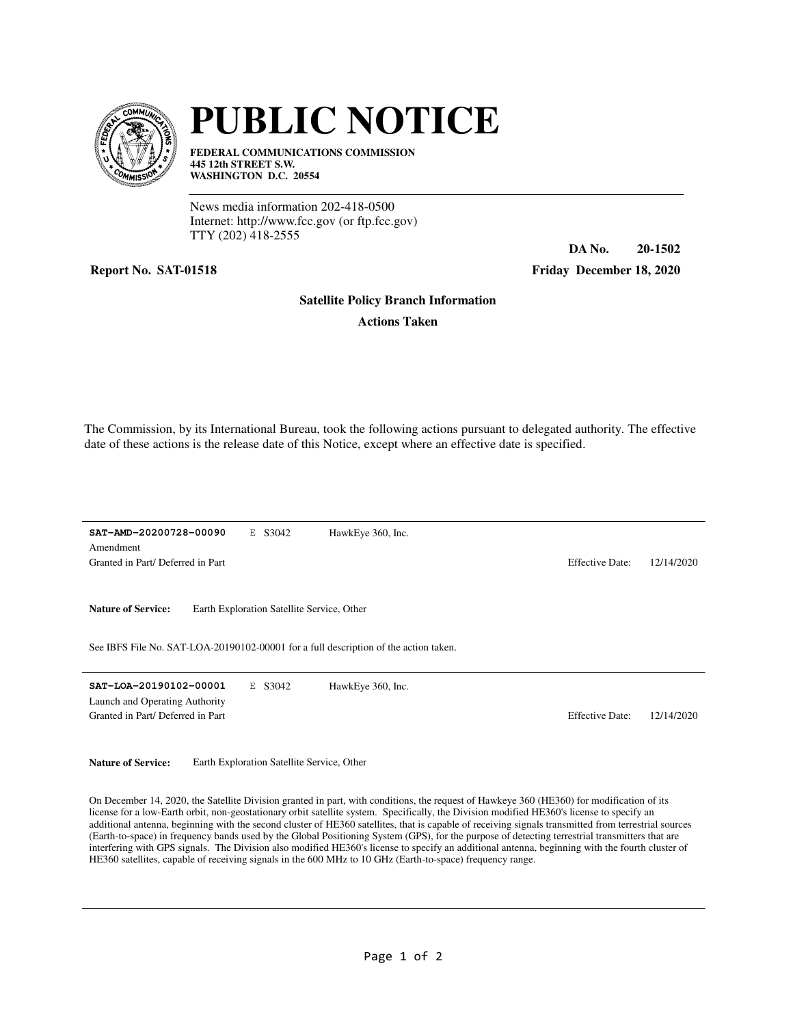

## **PUBLIC NOTICE**

**FEDERAL COMMUNICATIONS COMMISSION 445 12th STREET S.W. WASHINGTON D.C. 20554**

News media information 202-418-0500 Internet: http://www.fcc.gov (or ftp.fcc.gov) TTY (202) 418-2555

## **Report No. SAT-01518 Friday December 18, 2020**

**DA No. 20-1502**

## **Satellite Policy Branch Information**

**Actions Taken**

The Commission, by its International Bureau, took the following actions pursuant to delegated authority. The effective date of these actions is the release date of this Notice, except where an effective date is specified.

**SAT-AMD-20200728-00090** E S3042 Granted in Part/ Deferred in Part Effective Date: 12/14/2020 Amendment HawkEye 360, Inc.

Nature of Service: Earth Exploration Satellite Service, Other

See IBFS File No. SAT-LOA-20190102-00001 for a full description of the action taken.

**SAT-LOA-20190102-00001** E S3042 Granted in Part/ Deferred in Part and Tart Effective Date: 12/14/2020 Launch and Operating Authority HawkEye 360, Inc.

Nature of Service: Earth Exploration Satellite Service, Other

On December 14, 2020, the Satellite Division granted in part, with conditions, the request of Hawkeye 360 (HE360) for modification of its license for a low-Earth orbit, non-geostationary orbit satellite system. Specifically, the Division modified HE360's license to specify an additional antenna, beginning with the second cluster of HE360 satellites, that is capable of receiving signals transmitted from terrestrial sources (Earth-to-space) in frequency bands used by the Global Positioning System (GPS), for the purpose of detecting terrestrial transmitters that are interfering with GPS signals. The Division also modified HE360's license to specify an additional antenna, beginning with the fourth cluster of HE360 satellites, capable of receiving signals in the 600 MHz to 10 GHz (Earth-to-space) frequency range.